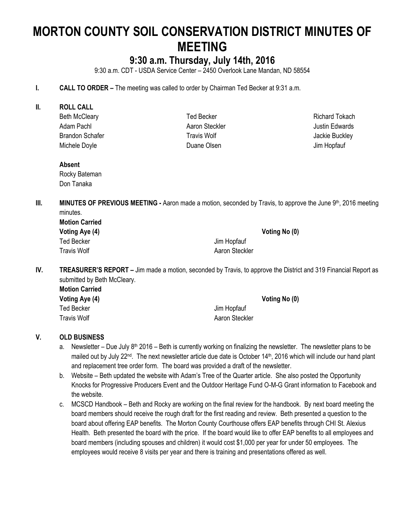# **MORTON COUNTY SOIL CONSERVATION DISTRICT MINUTES OF MEETING**

## **9:30 a.m. Thursday, July 14th, 2016**

9:30 a.m. CDT - USDA Service Center – 2450 Overlook Lane Mandan, ND 58554

- **I. CALL TO ORDER –** The meeting was called to order by Chairman Ted Becker at 9:31 a.m.
- **II. ROLL CALL**
	- Beth McCleary Adam Pachl Brandon Schafer Michele Doyle

Ted Becker Aaron Steckler Travis Wolf Duane Olsen

Richard Tokach Justin Edwards Jackie Buckley Jim Hopfauf

#### **Absent**

Rocky Bateman Don Tanaka

**III. MINUTES OF PREVIOUS MEETING -** Aaron made a motion, seconded by Travis, to approve the June 9<sup>th</sup>, 2016 meeting minutes. **Motion Carried**

| Motion Carried |                |               |
|----------------|----------------|---------------|
| Voting Aye (4) |                | Voting No (0) |
| Ted Becker     | Jim Hopfauf    |               |
| Travis Wolf    | Aaron Steckler |               |

**IV. TREASURER'S REPORT –** Jim made a motion, seconded by Travis, to approve the District and 319 Financial Report as submitted by Beth McCleary.

| <b>Motion Carried</b> |                |
|-----------------------|----------------|
| Voting Aye (4)        | Voting No (0)  |
| Ted Becker            | Jim Hopfauf    |
| <b>Travis Wolf</b>    | Aaron Steckler |

### **V. OLD BUSINESS**

- a. Newsletter Due July 8<sup>th</sup> 2016 Beth is currently working on finalizing the newsletter. The newsletter plans to be mailed out by July 22<sup>nd</sup>. The next newsletter article due date is October 14<sup>th</sup>, 2016 which will include our hand plant and replacement tree order form. The board was provided a draft of the newsletter.
- b. Website Beth updated the website with Adam's Tree of the Quarter article. She also posted the Opportunity Knocks for Progressive Producers Event and the Outdoor Heritage Fund O-M-G Grant information to Facebook and the website.
- c. MCSCD Handbook Beth and Rocky are working on the final review for the handbook. By next board meeting the board members should receive the rough draft for the first reading and review. Beth presented a question to the board about offering EAP benefits. The Morton County Courthouse offers EAP benefits through CHI St. Alexius Health. Beth presented the board with the price. If the board would like to offer EAP benefits to all employees and board members (including spouses and children) it would cost \$1,000 per year for under 50 employees. The employees would receive 8 visits per year and there is training and presentations offered as well.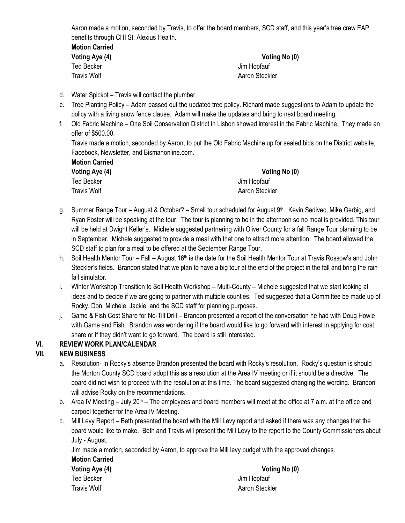Aaron made a motion, seconded by Travis, to offer the board members, SCD staff, and this year's tree crew EAP benefits through CHI St. Alexius Health.

**Motion Carried** Ted Becker Jim Hopfauf Travis Wolf **All Accord Accord Aaron Steckler** Aaron Steckler

**Voting Aye (4) Voting No (0)**

- d. Water Spickot Travis will contact the plumber.
- e. Tree Planting Policy Adam passed out the updated tree policy. Richard made suggestions to Adam to update the policy with a living snow fence clause. Adam will make the updates and bring to next board meeting.
- f. Old Fabric Machine One Soil Conservation District in Lisbon showed interest in the Fabric Machine. They made an offer of \$500.00.

Travis made a motion, seconded by Aaron, to put the Old Fabric Machine up for sealed bids on the District website, Facebook, Newsletter, and Bismanonline.com.

| <b>Motion Carried</b>      |
|----------------------------|
| Voting Aye (4)             |
| Ted Becker                 |
| $T_{\text{max}}$ is Madell |

**Voting No (0)** Jim Hopfauf Travis Wolf **All Accords** Aaron Steckler

- g. Summer Range Tour August & October? Small tour scheduled for August 9<sup>th</sup>. Kevin Sedivec, Mike Gerbig, and Ryan Foster will be speaking at the tour. The tour is planning to be in the afternoon so no meal is provided. This tour will be held at Dwight Keller's. Michele suggested partnering with Oliver County for a fall Range Tour planning to be in September. Michele suggested to provide a meal with that one to attract more attention. The board allowed the SCD staff to plan for a meal to be offered at the September Range Tour.
- h. Soil Health Mentor Tour Fall August 16<sup>th</sup> is the date for the Soil Health Mentor Tour at Travis Rossow's and John Steckler's fields. Brandon stated that we plan to have a big tour at the end of the project in the fall and bring the rain fall simulator.
- i. Winter Workshop Transition to Soil Health Workshop Multi-County Michele suggested that we start looking at ideas and to decide if we are going to partner with multiple counties. Ted suggested that a Committee be made up of Rocky, Don, Michele, Jackie, and the SCD staff for planning purposes.
- j. Game & Fish Cost Share for No-Till Drill Brandon presented a report of the conversation he had with Doug Howie with Game and Fish. Brandon was wondering if the board would like to go forward with interest in applying for cost share or if they didn't want to go forward. The board is still interested.

### **VI. REVIEW WORK PLAN/CALENDAR**

### **VII. NEW BUSINESS**

- a. Resolution- In Rocky's absence Brandon presented the board with Rocky's resolution. Rocky's question is should the Morton County SCD board adopt this as a resolution at the Area IV meeting or if it should be a directive. The board did not wish to proceed with the resolution at this time. The board suggested changing the wording. Brandon will advise Rocky on the recommendations.
- b. Area IV Meeting July 20<sup>th</sup> The employees and board members will meet at the office at 7 a.m. at the office and carpool together for the Area IV Meeting.
- c. Mill Levy Report Beth presented the board with the Mill Levy report and asked if there was any changes that the board would like to make. Beth and Travis will present the Mill Levy to the report to the County Commissioners about July - August.

Jim made a motion, seconded by Aaron, to approve the Mill levy budget with the approved changes.

**Motion Carried** Ted Becker **Jim Hopfauf** Travis Wolf **Allen Access 19 Travis Wolf** Aaron Steckler

**Voting Aye (4) Voting No (0)**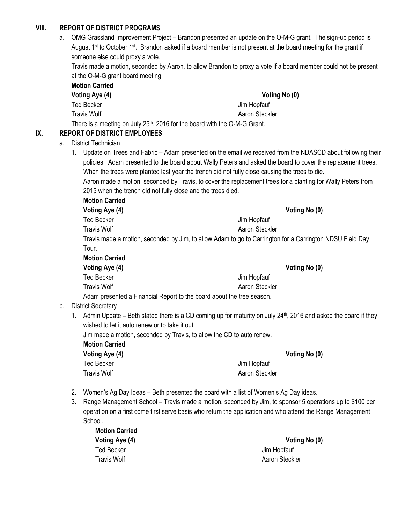#### **VIII. REPORT OF DISTRICT PROGRAMS**

a. OMG Grassland Improvement Project – Brandon presented an update on the O-M-G grant. The sign-up period is August 1<sup>st</sup> to October 1<sup>st</sup>. Brandon asked if a board member is not present at the board meeting for the grant if someone else could proxy a vote.

Travis made a motion, seconded by Aaron, to allow Brandon to proxy a vote if a board member could not be present at the O-M-G grant board meeting.

| <b>Motion Carried</b>                                                        |                |
|------------------------------------------------------------------------------|----------------|
| Voting Aye (4)                                                               | Voting No (0)  |
| Ted Becker                                                                   | Jim Hopfauf    |
| Travis Wolf                                                                  | Aaron Steckler |
| There is a meeting on July $25th$ , 2016 for the board with the O-M-G Grant. |                |

### **IX. REPORT OF DISTRICT EMPLOYEES**

- a. District Technician
	- 1. Update on Trees and Fabric Adam presented on the email we received from the NDASCD about following their policies. Adam presented to the board about Wally Peters and asked the board to cover the replacement trees. When the trees were planted last year the trench did not fully close causing the trees to die.
		- Aaron made a motion, seconded by Travis, to cover the replacement trees for a planting for Wally Peters from 2015 when the trench did not fully close and the trees died.

**Motion Carried Voting Aye (4) Voting No (0)** Ted Becker Jim Hopfauf Travis Wolf **Aaron Steckler** Aaron Steckler Travis made a motion, seconded by Jim, to allow Adam to go to Carrington for a Carrington NDSU Field Day Tour. **Motion Carried Voting Aye (4) Voting No (0)**

Ted Becker Jim Hopfauf Travis Wolf **Aaron Steckler** Aaron Steckler Adam presented a Financial Report to the board about the tree season.

#### b. District Secretary

1. Admin Update – Beth stated there is a CD coming up for maturity on July 24<sup>th</sup>, 2016 and asked the board if they wished to let it auto renew or to take it out.

Jim made a motion, seconded by Travis, to allow the CD to auto renew.

**Motion Carried Voting Aye (4) Voting No (0)** Ted Becker Jim Hopfauf

2. Women's Ag Day Ideas – Beth presented the board with a list of Women's Ag Day ideas.

Travis Wolf **Allen Accord Accord Aaron Steckler** 

3. Range Management School – Travis made a motion, seconded by Jim, to sponsor 5 operations up to \$100 per operation on a first come first serve basis who return the application and who attend the Range Management School.

| <b>Motion Carried</b> |                |
|-----------------------|----------------|
| Voting Aye (4)        | Voting No (0)  |
| Ted Becker            | Jim Hopfauf    |
| Travis Wolf           | Aaron Steckler |